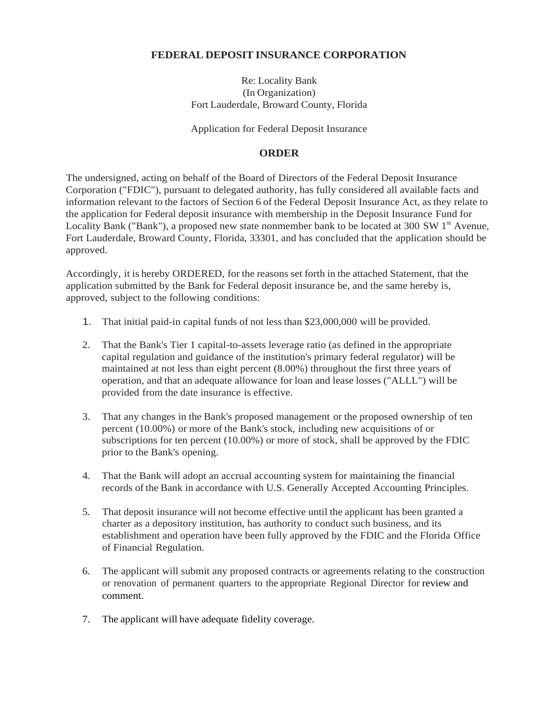## **FEDERAL DEPOSIT INSURANCE CORPORATION**

Re: Locality Bank (In Organization) Fort Lauderdale, Broward County, Florida

Application for Federal Deposit Insurance

### **ORDER**

The undersigned, acting on behalf of the Board of Directors of the Federal Deposit Insurance Corporation ("FDIC"), pursuant to delegated authority, has fully considered all available facts and information relevant to the factors of Section 6 of the Federal Deposit Insurance Act, as they relate to the application for Federal deposit insurance with membership in the Deposit Insurance Fund for Locality Bank ("Bank"), a proposed new state nonmember bank to be located at 300 SW  $1<sup>st</sup>$  Avenue, Fort Lauderdale, Broward County, Florida, 33301, and has concluded that the application should be approved.

Accordingly, it is hereby ORDERED, for the reasons set forth in the attached Statement, that the application submitted by the Bank for Federal deposit insurance be, and the same hereby is, approved, subject to the following conditions:

- 1. That initial paid-in capital funds of not less than \$23,000,000 will be provided.
- 2. That the Bank's Tier 1 capital-to-assets leverage ratio (as defined in the appropriate capital regulation and guidance of the institution's primary federal regulator) will be maintained at not less than eight percent (8.00%) throughout the first three years of operation, and that an adequate allowance for loan and lease losses ("ALLL") will be provided from the date insurance is effective.
- 3. That any changes in the Bank's proposed management or the proposed ownership of ten percent (10.00%) or more of the Bank's stock, including new acquisitions of or subscriptions for ten percent (10.00%) or more of stock, shall be approved by the FDIC prior to the Bank's opening.
- 4. That the Bank will adopt an accrual accounting system for maintaining the financial records of the Bank in accordance with U.S. Generally Accepted Accounting Principles.
- 5. That deposit insurance will not become effective until the applicant has been granted a charter as a depository institution, has authority to conduct such business, and its establishment and operation have been fully approved by the FDIC and the Florida Office of Financial Regulation.
- 6. The applicant will submit any proposed contracts or agreements relating to the construction or renovation of permanent quarters to the appropriate Regional Director for review and comment.
- 7. The applicant will have adequate fidelity coverage.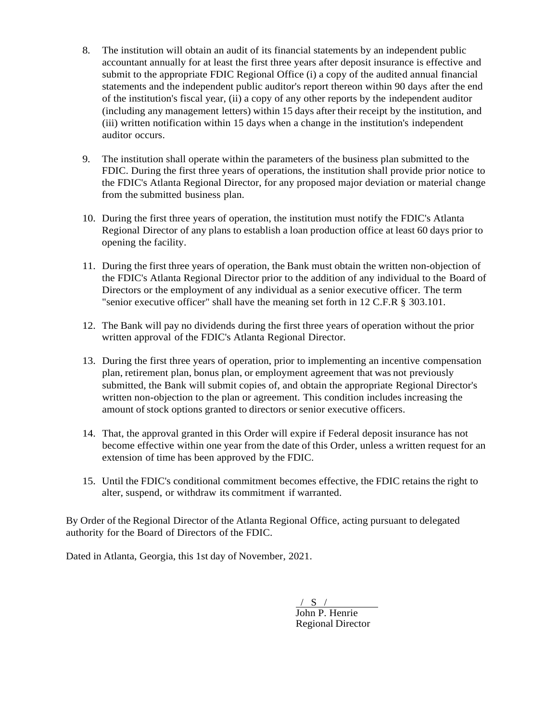- 8. The institution will obtain an audit of its financial statements by an independent public accountant annually for at least the first three years after deposit insurance is effective and submit to the appropriate FDIC Regional Office (i) a copy of the audited annual financial statements and the independent public auditor's report thereon within 90 days after the end of the institution's fiscal year, (ii) a copy of any other reports by the independent auditor (including any management letters) within 15 days after their receipt by the institution, and (iii) written notification within 15 days when a change in the institution's independent auditor occurs.
- 9. The institution shall operate within the parameters of the business plan submitted to the FDIC. During the first three years of operations, the institution shall provide prior notice to the FDIC's Atlanta Regional Director, for any proposed major deviation or material change from the submitted business plan.
- 10. During the first three years of operation, the institution must notify the FDIC's Atlanta Regional Director of any plans to establish a loan production office at least 60 days prior to opening the facility.
- 11. During the first three years of operation, the Bank must obtain the written non-objection of the FDIC's Atlanta Regional Director prior to the addition of any individual to the Board of Directors or the employment of any individual as a senior executive officer. The term "senior executive officer" shall have the meaning set forth in 12 C.F.R § 303.101.
- 12. The Bank will pay no dividends during the first three years of operation without the prior written approval of the FDIC's Atlanta Regional Director.
- 13. During the first three years of operation, prior to implementing an incentive compensation plan, retirement plan, bonus plan, or employment agreement that was not previously submitted, the Bank will submit copies of, and obtain the appropriate Regional Director's written non-objection to the plan or agreement. This condition includes increasing the amount of stock options granted to directors or senior executive officers.
- 14. That, the approval granted in this Order will expire if Federal deposit insurance has not become effective within one year from the date of this Order, unless a written request for an extension of time has been approved by the FDIC.
- 15. Until the FDIC's conditional commitment becomes effective, the FDIC retains the right to alter, suspend, or withdraw its commitment if warranted.

By Order of the Regional Director of the Atlanta Regional Office, acting pursuant to delegated authority for the Board of Directors of the FDIC.

Dated in Atlanta, Georgia, this 1st day of November, 2021.

 $/ S /$ John P. Henrie Regional Director